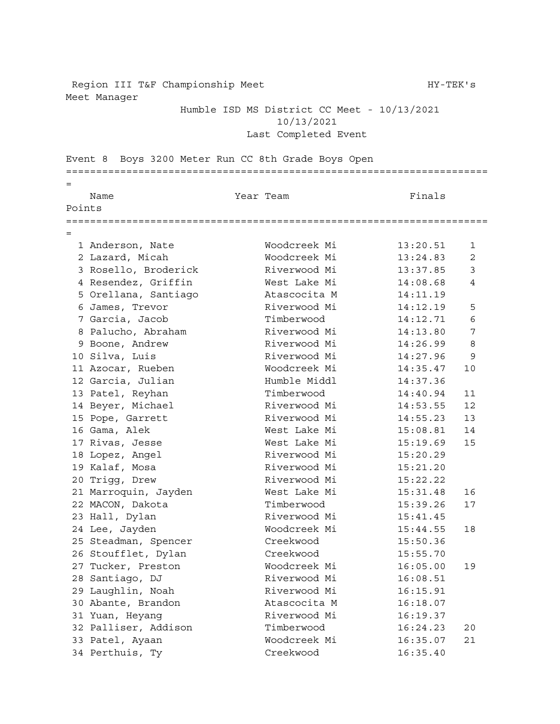Region III T&F Championship Meet HY-TEK's Meet Manager

Humble ISD MS District CC Meet - 10/13/2021 10/13/2021 Last Completed Event

Event 8 Boys 3200 Meter Run CC 8th Grade Boys Open ====================================================================== = Name **Name Star Team Reading Star Team Finals** Points ====================================================================== = Anderson, Nate Woodcreek Mi 13:20.51 1 Lazard, Micah Woodcreek Mi 13:24.83 2 3 Rosello, Broderick Riverwood Mi 13:37.85 3 Resendez, Griffin West Lake Mi 14:08.68 4 Orellana, Santiago Atascocita M 14:11.19 5 Orellana, Santiago Atascocita M 14:11.19<br>6 James, Trevor Riverwood Mi 14:12.19 5 Garcia, Jacob Timberwood 14:12.71 6 8 Palucho, Abraham Riverwood Mi 14:13.80 7 Boone, Andrew Riverwood Mi 14:26.99 8 Silva, Luis Riverwood Mi 14:27.96 9 Azocar, Rueben Woodcreek Mi 14:35.47 10 Garcia, Julian Humble Middl 14:37.36 13 Patel, Reyhan Timberwood 14:40.94 11 14 Beyer, Michael Riverwood Mi 14:53.55 12<br>15 Pope, Garrett Riverwood Mi 14:55.23 13 15 Pope, Garrett **Riverwood Mi** 14:55.23 13 Gama, Alek West Lake Mi 15:08.81 14 Rivas, Jesse West Lake Mi 15:19.69 15 18 Lopez, Angel Riverwood Mi 15:20.29<br>19 Kalaf, Mosa Riverwood Mi 15:21.20 Riverwood Mi 15:21.20 Trigg, Drew Riverwood Mi 15:22.22 Marroquin, Jayden West Lake Mi 15:31.48 16 MACON, Dakota Timberwood 15:39.26 17 23 Hall, Dylan Riverwood Mi 15:41.45 Lee, Jayden Woodcreek Mi 15:44.55 18 Steadman, Spencer Creekwood 15:50.36 Stoufflet, Dylan Creekwood 15:55.70 Tucker, Preston Woodcreek Mi 16:05.00 19 Santiago, DJ Riverwood Mi 16:08.51 Laughlin, Noah Riverwood Mi 16:15.91 Abante, Brandon Atascocita M 16:18.07 Yuan, Heyang Riverwood Mi 16:19.37 Palliser, Addison Timberwood 16:24.23 20 Patel, Ayaan Woodcreek Mi 16:35.07 21 Perthuis, Ty Creekwood 16:35.40